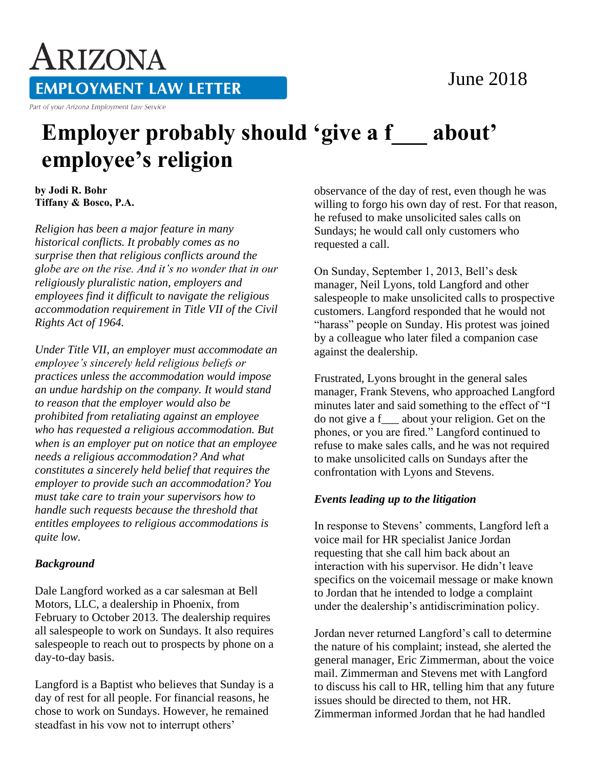# June 2018

ARIZONA **EMPLOYMENT LAW LETTER** 

Part of your Arizona Employment Law Service

# **Employer probably should 'give a f\_\_\_ about' employee's religion**

**by Jodi R. Bohr Tiffany & Bosco, P.A.** 

*Religion has been a major feature in many historical conflicts. It probably comes as no surprise then that religious conflicts around the globe are on the rise. And it's no wonder that in our religiously pluralistic nation, employers and employees find it difficult to navigate the religious accommodation requirement in Title VII of the Civil Rights Act of 1964.*

*Under Title VII, an employer must accommodate an employee's sincerely held religious beliefs or practices unless the accommodation would impose an undue hardship on the company. It would stand to reason that the employer would also be prohibited from retaliating against an employee who has requested a religious accommodation. But when is an employer put on notice that an employee needs a religious accommodation? And what constitutes a sincerely held belief that requires the employer to provide such an accommodation? You must take care to train your supervisors how to handle such requests because the threshold that entitles employees to religious accommodations is quite low.*

## *Background*

Dale Langford worked as a car salesman at Bell Motors, LLC, a dealership in Phoenix, from February to October 2013. The dealership requires all salespeople to work on Sundays. It also requires salespeople to reach out to prospects by phone on a day-to-day basis.

Langford is a Baptist who believes that Sunday is a day of rest for all people. For financial reasons, he chose to work on Sundays. However, he remained steadfast in his vow not to interrupt others'

observance of the day of rest, even though he was willing to forgo his own day of rest. For that reason, he refused to make unsolicited sales calls on Sundays; he would call only customers who requested a call.

On Sunday, September 1, 2013, Bell's desk manager, Neil Lyons, told Langford and other salespeople to make unsolicited calls to prospective customers. Langford responded that he would not "harass" people on Sunday. His protest was joined by a colleague who later filed a companion case against the dealership.

Frustrated, Lyons brought in the general sales manager, Frank Stevens, who approached Langford minutes later and said something to the effect of "I do not give a f\_\_\_ about your religion. Get on the phones, or you are fired." Langford continued to refuse to make sales calls, and he was not required to make unsolicited calls on Sundays after the confrontation with Lyons and Stevens.

## *Events leading up to the litigation*

In response to Stevens' comments, Langford left a voice mail for HR specialist Janice Jordan requesting that she call him back about an interaction with his supervisor. He didn't leave specifics on the voicemail message or make known to Jordan that he intended to lodge a complaint under the dealership's antidiscrimination policy.

Jordan never returned Langford's call to determine the nature of his complaint; instead, she alerted the general manager, Eric Zimmerman, about the voice mail. Zimmerman and Stevens met with Langford to discuss his call to HR, telling him that any future issues should be directed to them, not HR. Zimmerman informed Jordan that he had handled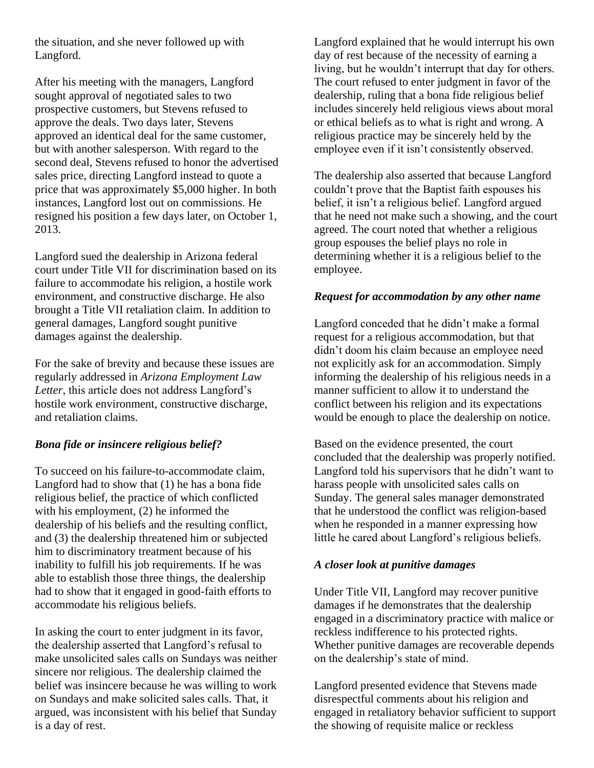the situation, and she never followed up with Langford.

After his meeting with the managers, Langford sought approval of negotiated sales to two prospective customers, but Stevens refused to approve the deals. Two days later, Stevens approved an identical deal for the same customer, but with another salesperson. With regard to the second deal, Stevens refused to honor the advertised sales price, directing Langford instead to quote a price that was approximately \$5,000 higher. In both instances, Langford lost out on commissions. He resigned his position a few days later, on October 1, 2013.

Langford sued the dealership in Arizona federal court under Title VII for discrimination based on its failure to accommodate his religion, a hostile work environment, and constructive discharge. He also brought a Title VII retaliation claim. In addition to general damages, Langford sought punitive damages against the dealership.

For the sake of brevity and because these issues are regularly addressed in *Arizona Employment Law Letter*, this article does not address Langford's hostile work environment, constructive discharge, and retaliation claims.

## *Bona fide or insincere religious belief?*

To succeed on his failure-to-accommodate claim, Langford had to show that (1) he has a bona fide religious belief, the practice of which conflicted with his employment, (2) he informed the dealership of his beliefs and the resulting conflict, and (3) the dealership threatened him or subjected him to discriminatory treatment because of his inability to fulfill his job requirements. If he was able to establish those three things, the dealership had to show that it engaged in good-faith efforts to accommodate his religious beliefs.

In asking the court to enter judgment in its favor, the dealership asserted that Langford's refusal to make unsolicited sales calls on Sundays was neither sincere nor religious. The dealership claimed the belief was insincere because he was willing to work on Sundays and make solicited sales calls. That, it argued, was inconsistent with his belief that Sunday is a day of rest.

Langford explained that he would interrupt his own day of rest because of the necessity of earning a living, but he wouldn't interrupt that day for others. The court refused to enter judgment in favor of the dealership, ruling that a bona fide religious belief includes sincerely held religious views about moral or ethical beliefs as to what is right and wrong. A religious practice may be sincerely held by the employee even if it isn't consistently observed.

The dealership also asserted that because Langford couldn't prove that the Baptist faith espouses his belief, it isn't a religious belief. Langford argued that he need not make such a showing, and the court agreed. The court noted that whether a religious group espouses the belief plays no role in determining whether it is a religious belief to the employee.

#### *Request for accommodation by any other name*

Langford conceded that he didn't make a formal request for a religious accommodation, but that didn't doom his claim because an employee need not explicitly ask for an accommodation. Simply informing the dealership of his religious needs in a manner sufficient to allow it to understand the conflict between his religion and its expectations would be enough to place the dealership on notice.

Based on the evidence presented, the court concluded that the dealership was properly notified. Langford told his supervisors that he didn't want to harass people with unsolicited sales calls on Sunday. The general sales manager demonstrated that he understood the conflict was religion-based when he responded in a manner expressing how little he cared about Langford's religious beliefs.

## *A closer look at punitive damages*

Under Title VII, Langford may recover punitive damages if he demonstrates that the dealership engaged in a discriminatory practice with malice or reckless indifference to his protected rights. Whether punitive damages are recoverable depends on the dealership's state of mind.

Langford presented evidence that Stevens made disrespectful comments about his religion and engaged in retaliatory behavior sufficient to support the showing of requisite malice or reckless